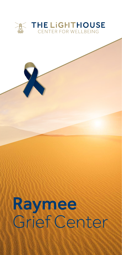

# Raymee Grief Center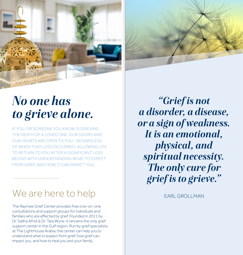



## *No one has to grieve alone.*

IF YOU, OR SOMEONE YOU KNOW, IS GRIEVING THE DEATH OF A LOVED ONE, OUR DOORS AND OUR HEARTS ARE OPEN TO YOU – REGARDLESS OF WHEN THAT LOSS OCCURRED. ALLOWING LIFE TO RETURN TO YOU AFTER A SIGNIFICANT LOSS BEGINS WITH UNDERSTANDING WHAT TO EXPECT FROM GRIEF, AND HOW IT CAN IMPACT YOU.

### We are here to help

The Raymee Grief Center provides free one-on-one consultations and support groups for individuals and families who are affected by grief. Founded in 2011 by Dr. Saliha Afridi & Dr. Tara Wyne, it remains the only grief support center in the Gulf region. Run by grief specialists at The LightHouse Arabia, the center can help you to understand what to expect from grief, how grief can impact you, and how to heal you and your family.

*"Grief is not a disorder, a disease, or a sign of weakness. It is an emotional, physical, and spiritual necessity. The only cure for grief is to grieve."*

EARL GROLLMAN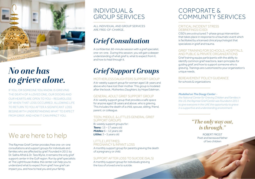

## *No one has to grieve alone.*

IF YOU, OR SOMEONE YOU KNOW, IS GRIEVING THE DEATH OF A LOVED ONE, OUR DOORS AND OUR HEARTS ARE OPEN TO YOU – REGARDLESS OF WHEN THAT LOSS OCCURRED. ALLOWING LIFE TO RETURN TO YOU AFTER A SIGNIFICANT LOSS BEGINS WITH UNDERSTANDING WHAT TO EXPECT FROM GRIEF, AND HOW IT CAN IMPACT YOU.

## We are here to help

The Raymee Grief Center provides free one-on-one consultations and support groups for individuals and families who are affected by grief. Founded in 2011 by Dr. Saliha Afridi & Dr. Tara Wyne, it remains the only grief support center in the Gulf region. Run by grief specialists at The LightHouse Arabia, the center can help you to understand what to expect from grief, how grief can impact you, and how to heal you and your family.

### INDIVIDUAL & GROUP SERVICES

ALL INDIVIDUAL AND GROUP SERVICES ARE FREE-OF-CHARGE.

## *Grief Consultation*

A confidential, 60-minute session with a grief specialist, one-on-one. During this session, you will gain a deeper understanding of what grief is, what to expect from it, and how to heal through it.

## *Grief Support Groups*

#### MOTHERLESS DAUGHTERS SUPPORT GROUP

A bi-weekly support group for women aged 18-years and above who have lost their mother. This group is modeled after the book, *Motherless Daughters,* by Hope Edelman.

#### GENERAL ADULT GRIEF SUPPORT GROUP

A bi-weekly support group that provides a safe space for anyone aged 18-years and above, who is grieving. This includes the death of a child, spouse, sibling, friend, parent, or colleague.

#### TEEN, MIDDLE, & LITTLES GENERAL GRIEF SUPPORT GROUPS

Bi-weekly support groups for: *Teens:* 13 – 17 years old *Middles:* 6 – 12 years old *Littles:* 3 – 5 years old

#### LITTLE LIFETIMES:

PREGNANCY & INFANT LOSS A monthly support group for parents grieving the death of a pregnancy or child.

#### SUPPORT AFTER LOSS TO SUICIDE (SALS)

A monthly support group for individuals grieving the loss of a loved one to suicide.

### CORPORATE & COMMUNITY SERVICES

#### CRITICAL INCIDENT STRESS DEBRIEFINGS (CISD)

CISD's are a structured 7-phase group intervention that takes place in response to a traumatic event which is facilitated by a licensed clinical psychologist that specializes in grief and trauma.

#### GRIEF TRAINING FOR SCHOOLS, HOSPITALS AND PUBLIC & PRIVATE ORGANIZATIONS

Grief training equips participants with the ability to identify common grief reactions, learn principles for guiding grief, and how to support someone who is grieving. Trainings are customized to your organization's unique needs.

#### BEREAVEMENT POLICY GUIDANCE for schools & organizations

#### *Modelled on The Dougy Center –*

*the National Center for Grieving Children and Families in the US, the Raymee Grief Center was founded in 2011 to give everyone in the UAE the opportunity to grieve in a supportive and understanding environment.*

### *"The only way out, is through."*

ROBERT FROST Poet and bereaved father of two children